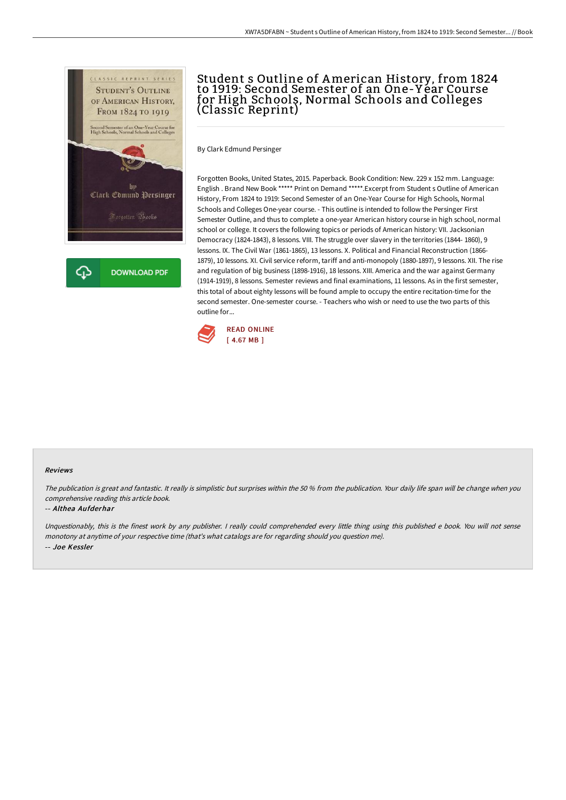

# Student s Outline of American History, from 1824 to 1919: Second Semester of an One-Y ear Course for High Schools, Normal Schools and Colleges (Classic Reprint)

By Clark Edmund Persinger

Forgotten Books, United States, 2015. Paperback. Book Condition: New. 229 x 152 mm. Language: English . Brand New Book \*\*\*\*\* Print on Demand \*\*\*\*\*.Excerpt from Student s Outline of American History, From 1824 to 1919: Second Semester of an One-Year Course for High Schools, Normal Schools and Colleges One-year course. - This outline is intended to follow the Persinger First Semester Outline, and thus to complete a one-year American history course in high school, normal school or college. It covers the following topics or periods of American history: VII. Jacksonian Democracy (1824-1843), 8 lessons. VIII. The struggle over slavery in the territories (1844- 1860), 9 lessons. IX. The Civil War (1861-1865), 13 lessons. X. Political and Financial Reconstruction (1866- 1879), 10 lessons. XI. Civil service reform, tariff and anti-monopoly (1880-1897), 9 lessons. XII. The rise and regulation of big business (1898-1916), 18 lessons. XIII. America and the war against Germany (1914-1919), 8 lessons. Semester reviews and final examinations, 11 lessons. As in the first semester, this total of about eighty lessons will be found ample to occupy the entire recitation-time for the second semester. One-semester course. - Teachers who wish or need to use the two parts of this outline for...



#### Reviews

The publication is great and fantastic. It really is simplistic but surprises within the <sup>50</sup> % from the publication. Your daily life span will be change when you comprehensive reading this article book.

#### -- Althea Aufderhar

Unquestionably, this is the finest work by any publisher. <sup>I</sup> really could comprehended every little thing using this published <sup>e</sup> book. You will not sense monotony at anytime of your respective time (that's what catalogs are for regarding should you question me). -- Joe Kessler